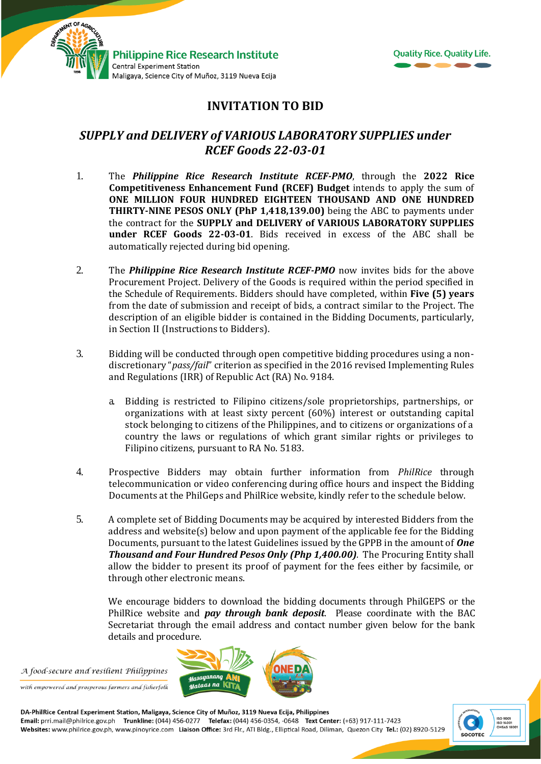



## **INVITATION TO BID**

## *SUPPLY and DELIVERY of VARIOUS LABORATORY SUPPLIES under RCEF Goods 22-03-01*

- 1. The *Philippine Rice Research Institute RCEF-PMO*, through the **2022 Rice Competitiveness Enhancement Fund (RCEF) Budget** intends to apply the sum of **ONE MILLION FOUR HUNDRED EIGHTEEN THOUSAND AND ONE HUNDRED THIRTY-NINE PESOS ONLY (PhP 1,418,139.00)** being the ABC to payments under the contract for the **SUPPLY and DELIVERY of VARIOUS LABORATORY SUPPLIES under RCEF Goods 22-03-01**. Bids received in excess of the ABC shall be automatically rejected during bid opening.
- 2. The *Philippine Rice Research Institute RCEF-PMO* now invites bids for the above Procurement Project. Delivery of the Goods is required within the period specified in the Schedule of Requirements. Bidders should have completed, within **Five (5) years** from the date of submission and receipt of bids, a contract similar to the Project. The description of an eligible bidder is contained in the Bidding Documents, particularly, in Section II (Instructions to Bidders).
- 3. Bidding will be conducted through open competitive bidding procedures using a nondiscretionary "*pass/fail*" criterion as specified in the 2016 revised Implementing Rules and Regulations (IRR) of Republic Act (RA) No. 9184.
	- a. Bidding is restricted to Filipino citizens/sole proprietorships, partnerships, or organizations with at least sixty percent (60%) interest or outstanding capital stock belonging to citizens of the Philippines, and to citizens or organizations of a country the laws or regulations of which grant similar rights or privileges to Filipino citizens, pursuant to RA No. 5183.
- 4. Prospective Bidders may obtain further information from *PhilRice* through telecommunication or video conferencing during office hours and inspect the Bidding Documents at the PhilGeps and PhilRice website, kindly refer to the schedule below.
- 5. A complete set of Bidding Documents may be acquired by interested Bidders from the address and website(s) below and upon payment of the applicable fee for the Bidding Documents, pursuant to the latest Guidelines issued by the GPPB in the amount of *One Thousand and Four Hundred Pesos Only (Php 1,400.00).* The Procuring Entity shall allow the bidder to present its proof of payment for the fees either by facsimile, or through other electronic means.

We encourage bidders to download the bidding documents through PhilGEPS or the PhilRice website and *pay through bank deposit*. Please coordinate with the BAC Secretariat through the email address and contact number given below for the bank details and procedure.

A food-secure and resilient Philippines

with empowered and prosperous farmers and fisherfolk



DA-PhilRice Central Experiment Station, Maligaya, Science City of Muñoz, 3119 Nueva Ecija, Philippines<br>Email: prri.mail@philrice.gov.ph Trunkline: (044) 456-0277 Telefax: (044) 456-0354, -0648 Text Center: (+63) 917-111-74 Websites: www.philrice.gov.ph, www.pinoyrice.com Liaison Office: 3rd Flr., ATI Bldg., Elliptical Road, Diliman, Quezon City Tel.: (02) 8920-5129

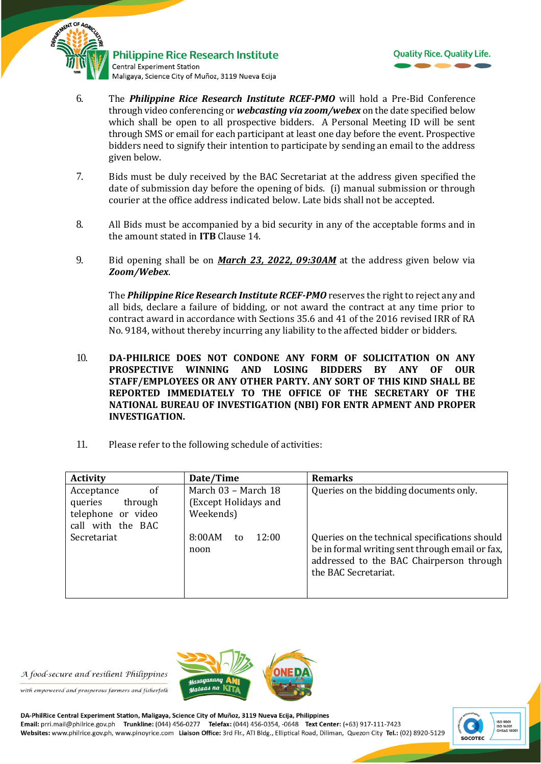



- 6. The *Philippine Rice Research Institute RCEF-PMO* will hold a Pre-Bid Conference through video conferencing or *webcasting via zoom/webex* on the date specified below which shall be open to all prospective bidders. A Personal Meeting ID will be sent through SMS or email for each participant at least one day before the event. Prospective bidders need to signify their intention to participate by sending an email to the address given below.
- 7. Bids must be duly received by the BAC Secretariat at the address given specified the date of submission day before the opening of bids. (i) manual submission or through courier at the office address indicated below*.* Late bids shall not be accepted.
- 8. All Bids must be accompanied by a bid security in any of the acceptable forms and in the amount stated in **ITB** Clause 14.
- 9. Bid opening shall be on *March 23, 2022, 09:30AM* at the address given below via *Zoom/Webex*.

The *Philippine Rice Research Institute RCEF-PMO* reserves the right to reject any and all bids, declare a failure of bidding, or not award the contract at any time prior to contract award in accordance with Sections 35.6 and 41 of the 2016 revised IRR of RA No. 9184, without thereby incurring any liability to the affected bidder or bidders.

- 10. **DA-PHILRICE DOES NOT CONDONE ANY FORM OF SOLICITATION ON ANY PROSPECTIVE WINNING AND LOSING BIDDERS BY ANY OF OUR STAFF/EMPLOYEES OR ANY OTHER PARTY. ANY SORT OF THIS KIND SHALL BE REPORTED IMMEDIATELY TO THE OFFICE OF THE SECRETARY OF THE NATIONAL BUREAU OF INVESTIGATION (NBI) FOR ENTR APMENT AND PROPER INVESTIGATION.**
- 11. Please refer to the following schedule of activities:

| <b>Activity</b>                                                                              | Date/Time                                                | <b>Remarks</b>                                                                                                                                                        |
|----------------------------------------------------------------------------------------------|----------------------------------------------------------|-----------------------------------------------------------------------------------------------------------------------------------------------------------------------|
| <sub>of</sub><br>Acceptance<br>through<br>queries<br>telephone or video<br>call with the BAC | March 03 - March 18<br>(Except Holidays and<br>Weekends) | Queries on the bidding documents only.                                                                                                                                |
| Secretariat                                                                                  | 8:00AM<br>12:00<br>to<br>noon                            | Queries on the technical specifications should<br>be in formal writing sent through email or fax,<br>addressed to the BAC Chairperson through<br>the BAC Secretariat. |



A food-secure and resilient Philippines

with empowered and prosperous farmers and fisherfolk

DA-PhilRice Central Experiment Station, Maligaya, Science City of Muñoz, 3119 Nueva Ecija, Philippines<br>Email: prri.mail@philrice.gov.ph Trunkline: (044) 456-0277 Telefax: (044) 456-0354, -0648 Text Center: (+63) 917-111-74 Websites: www.philrice.gov.ph, www.pinoyrice.com Liaison Office: 3rd Flr., ATI Bldg., Elliptical Road, Diliman, Quezon City Tel.: (02) 8920-5129